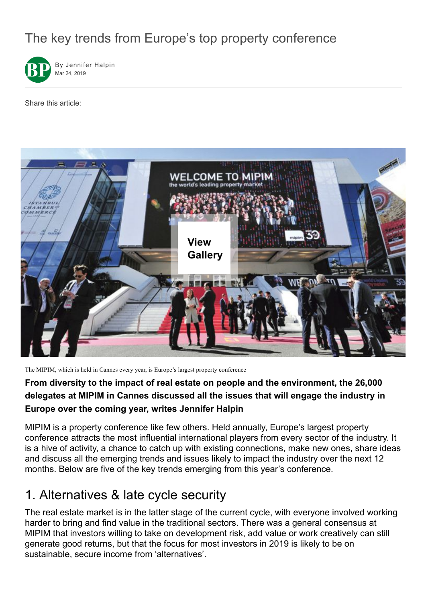# The key trends from Europe's top property conference



Share this article:



The MIPIM, which is held in Cannes every year, is Europe's largest property conference

#### **From diversity to the impact of real estate on people and the environment, the 26,000 delegates at MIPIM in Cannes discussed all the issues that will engage the industry in Europe over the coming year, writes Jennifer Halpin**

MIPIM is a property conference like few others. Held annually, Europe's largest property conference attracts the most influential international players from every sector of the industry. It is a hive of activity, a chance to catch up with existing connections, make new ones, share ideas and discuss all the emerging trends and issues likely to impact the industry over the next 12 months. Below are five of the key trends emerging from this year's conference.

## 1. Alternatives & late cycle security

The real estate market is in the latter stage of the current cycle, with everyone involved working harder to bring and find value in the traditional sectors. There was a general consensus at MIPIM that investors willing to take on development risk, add value or work creatively can still generate good returns, but that the focus for most investors in 2019 is likely to be on sustainable, secure income from 'alternatives'.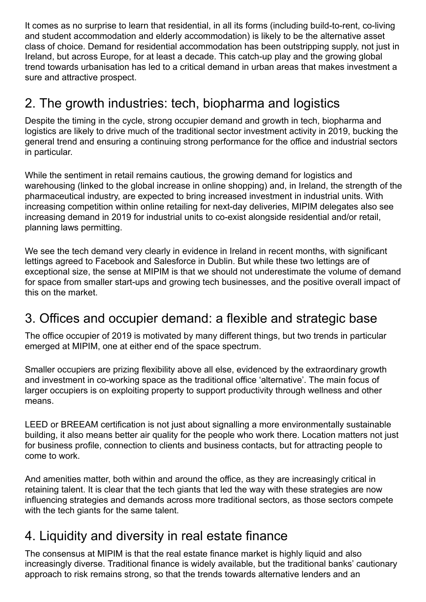It comes as no surprise to learn that residential, in all its forms (including build-to-rent, co-living and student accommodation and elderly accommodation) is likely to be the alternative asset class of choice. Demand for residential accommodation has been outstripping supply, not just in Ireland, but across Europe, for at least a decade. This catch-up play and the growing global trend towards urbanisation has led to a critical demand in urban areas that makes investment a sure and attractive prospect.

## 2. The growth industries: tech, biopharma and logistics

Despite the timing in the cycle, strong occupier demand and growth in tech, biopharma and logistics are likely to drive much of the traditional sector investment activity in 2019, bucking the general trend and ensuring a continuing strong performance for the office and industrial sectors in particular.

While the sentiment in retail remains cautious, the growing demand for logistics and warehousing (linked to the global increase in online shopping) and, in Ireland, the strength of the pharmaceutical industry, are expected to bring increased investment in industrial units. With increasing competition within online retailing for next-day deliveries, MIPIM delegates also see increasing demand in 2019 for industrial units to co-exist alongside residential and/or retail, planning laws permitting.

We see the tech demand very clearly in evidence in Ireland in recent months, with significant lettings agreed to Facebook and Salesforce in Dublin. But while these two lettings are of exceptional size, the sense at MIPIM is that we should not underestimate the volume of demand for space from smaller start-ups and growing tech businesses, and the positive overall impact of this on the market.

## 3. Offices and occupier demand: a flexible and strategic base

The office occupier of 2019 is motivated by many different things, but two trends in particular emerged at MIPIM, one at either end of the space spectrum.

Smaller occupiers are prizing flexibility above all else, evidenced by the extraordinary growth and investment in co-working space as the traditional office 'alternative'. The main focus of larger occupiers is on exploiting property to support productivity through wellness and other means.

LEED or BREEAM certification is not just about signalling a more environmentally sustainable building, it also means better air quality for the people who work there. Location matters not just for business profile, connection to clients and business contacts, but for attracting people to come to work.

And amenities matter, both within and around the office, as they are increasingly critical in retaining talent. It is clear that the tech giants that led the way with these strategies are now influencing strategies and demands across more traditional sectors, as those sectors compete with the tech giants for the same talent.

## 4. Liquidity and diversity in real estate finance

The consensus at MIPIM is that the real estate finance market is highly liquid and also increasingly diverse. Traditional finance is widely available, but the traditional banks' cautionary approach to risk remains strong, so that the trends towards alternative lenders and an